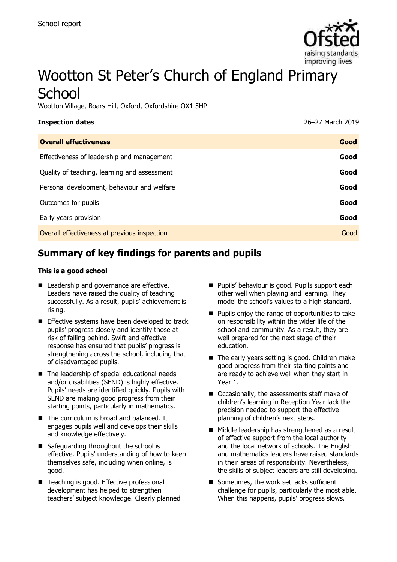

# Wootton St Peter's Church of England Primary **School**

Wootton Village, Boars Hill, Oxford, Oxfordshire OX1 5HP

| <b>Inspection dates</b>                      | 26-27 March 2019 |
|----------------------------------------------|------------------|
| <b>Overall effectiveness</b>                 | Good             |
| Effectiveness of leadership and management   | Good             |
| Quality of teaching, learning and assessment | Good             |
| Personal development, behaviour and welfare  | Good             |
| Outcomes for pupils                          | Good             |
| Early years provision                        | Good             |
| Overall effectiveness at previous inspection | Good             |
|                                              |                  |

# **Summary of key findings for parents and pupils**

#### **This is a good school**

- Leadership and governance are effective. Leaders have raised the quality of teaching successfully. As a result, pupils' achievement is rising.
- Effective systems have been developed to track pupils' progress closely and identify those at risk of falling behind. Swift and effective response has ensured that pupils' progress is strengthening across the school, including that of disadvantaged pupils.
- The leadership of special educational needs and/or disabilities (SEND) is highly effective. Pupils' needs are identified quickly. Pupils with SEND are making good progress from their starting points, particularly in mathematics.
- The curriculum is broad and balanced. It engages pupils well and develops their skills and knowledge effectively.
- Safeguarding throughout the school is effective. Pupils' understanding of how to keep themselves safe, including when online, is good.
- Teaching is good. Effective professional development has helped to strengthen teachers' subject knowledge. Clearly planned
- Pupils' behaviour is good. Pupils support each other well when playing and learning. They model the school's values to a high standard.
- Pupils enjoy the range of opportunities to take on responsibility within the wider life of the school and community. As a result, they are well prepared for the next stage of their education.
- The early years setting is good. Children make good progress from their starting points and are ready to achieve well when they start in Year 1.
- Occasionally, the assessments staff make of children's learning in Reception Year lack the precision needed to support the effective planning of children's next steps.
- Middle leadership has strengthened as a result of effective support from the local authority and the local network of schools. The English and mathematics leaders have raised standards in their areas of responsibility. Nevertheless, the skills of subject leaders are still developing.
- Sometimes, the work set lacks sufficient challenge for pupils, particularly the most able. When this happens, pupils' progress slows.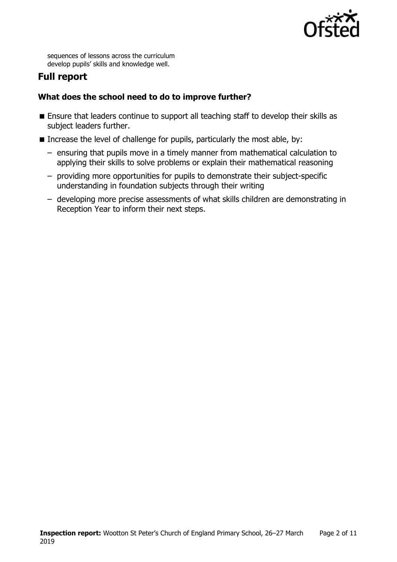

sequences of lessons across the curriculum develop pupils' skills and knowledge well.

# **Full report**

### **What does the school need to do to improve further?**

- **Ensure that leaders continue to support all teaching staff to develop their skills as** subject leaders further.
- Increase the level of challenge for pupils, particularly the most able, by:
	- ensuring that pupils move in a timely manner from mathematical calculation to applying their skills to solve problems or explain their mathematical reasoning
	- providing more opportunities for pupils to demonstrate their subject-specific understanding in foundation subjects through their writing
	- developing more precise assessments of what skills children are demonstrating in Reception Year to inform their next steps.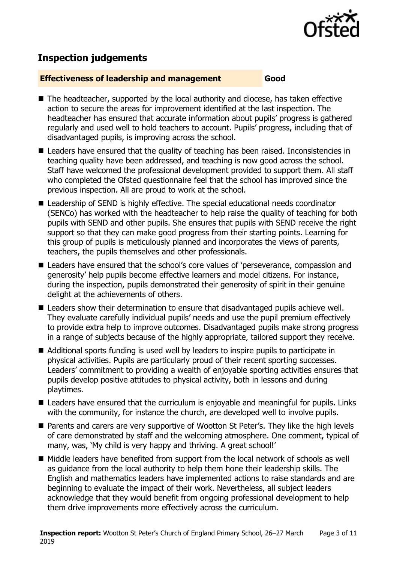

# **Inspection judgements**

#### **Effectiveness of leadership and management Good**

- The headteacher, supported by the local authority and diocese, has taken effective action to secure the areas for improvement identified at the last inspection. The headteacher has ensured that accurate information about pupils' progress is gathered regularly and used well to hold teachers to account. Pupils' progress, including that of disadvantaged pupils, is improving across the school.
- Leaders have ensured that the quality of teaching has been raised. Inconsistencies in teaching quality have been addressed, and teaching is now good across the school. Staff have welcomed the professional development provided to support them. All staff who completed the Ofsted questionnaire feel that the school has improved since the previous inspection. All are proud to work at the school.
- Leadership of SEND is highly effective. The special educational needs coordinator (SENCo) has worked with the headteacher to help raise the quality of teaching for both pupils with SEND and other pupils. She ensures that pupils with SEND receive the right support so that they can make good progress from their starting points. Learning for this group of pupils is meticulously planned and incorporates the views of parents, teachers, the pupils themselves and other professionals.
- Leaders have ensured that the school's core values of 'perseverance, compassion and generosity' help pupils become effective learners and model citizens. For instance, during the inspection, pupils demonstrated their generosity of spirit in their genuine delight at the achievements of others.
- Leaders show their determination to ensure that disadvantaged pupils achieve well. They evaluate carefully individual pupils' needs and use the pupil premium effectively to provide extra help to improve outcomes. Disadvantaged pupils make strong progress in a range of subjects because of the highly appropriate, tailored support they receive.
- Additional sports funding is used well by leaders to inspire pupils to participate in physical activities. Pupils are particularly proud of their recent sporting successes. Leaders' commitment to providing a wealth of enjoyable sporting activities ensures that pupils develop positive attitudes to physical activity, both in lessons and during playtimes.
- Leaders have ensured that the curriculum is enjoyable and meaningful for pupils. Links with the community, for instance the church, are developed well to involve pupils.
- Parents and carers are very supportive of Wootton St Peter's. They like the high levels of care demonstrated by staff and the welcoming atmosphere. One comment, typical of many, was, 'My child is very happy and thriving. A great school!'
- Middle leaders have benefited from support from the local network of schools as well as guidance from the local authority to help them hone their leadership skills. The English and mathematics leaders have implemented actions to raise standards and are beginning to evaluate the impact of their work. Nevertheless, all subject leaders acknowledge that they would benefit from ongoing professional development to help them drive improvements more effectively across the curriculum.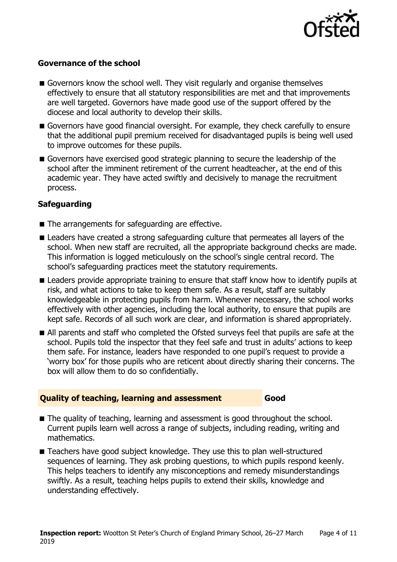

#### **Governance of the school**

- Governors know the school well. They visit regularly and organise themselves effectively to ensure that all statutory responsibilities are met and that improvements are well targeted. Governors have made good use of the support offered by the diocese and local authority to develop their skills.
- Governors have good financial oversight. For example, they check carefully to ensure that the additional pupil premium received for disadvantaged pupils is being well used to improve outcomes for these pupils.
- Governors have exercised good strategic planning to secure the leadership of the school after the imminent retirement of the current headteacher, at the end of this academic year. They have acted swiftly and decisively to manage the recruitment process.

#### **Safeguarding**

- The arrangements for safeguarding are effective.
- Leaders have created a strong safeguarding culture that permeates all layers of the school. When new staff are recruited, all the appropriate background checks are made. This information is logged meticulously on the school's single central record. The school's safeguarding practices meet the statutory requirements.
- **E** Leaders provide appropriate training to ensure that staff know how to identify pupils at risk, and what actions to take to keep them safe. As a result, staff are suitably knowledgeable in protecting pupils from harm. Whenever necessary, the school works effectively with other agencies, including the local authority, to ensure that pupils are kept safe. Records of all such work are clear, and information is shared appropriately.
- All parents and staff who completed the Ofsted surveys feel that pupils are safe at the school. Pupils told the inspector that they feel safe and trust in adults' actions to keep them safe. For instance, leaders have responded to one pupil's request to provide a 'worry box' for those pupils who are reticent about directly sharing their concerns. The box will allow them to do so confidentially.

#### **Quality of teaching, learning and assessment Good**

- The quality of teaching, learning and assessment is good throughout the school. Current pupils learn well across a range of subjects, including reading, writing and mathematics.
- Teachers have good subject knowledge. They use this to plan well-structured sequences of learning. They ask probing questions, to which pupils respond keenly. This helps teachers to identify any misconceptions and remedy misunderstandings swiftly. As a result, teaching helps pupils to extend their skills, knowledge and understanding effectively.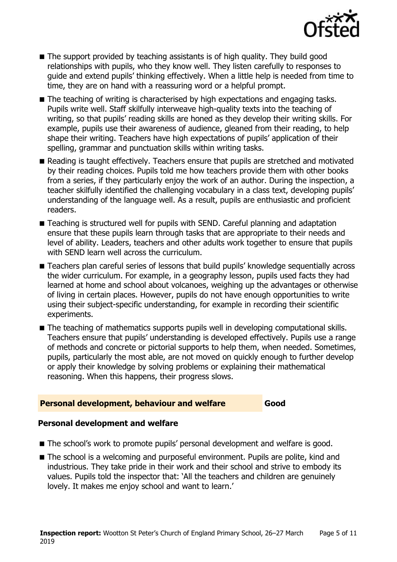

- The support provided by teaching assistants is of high quality. They build good relationships with pupils, who they know well. They listen carefully to responses to guide and extend pupils' thinking effectively. When a little help is needed from time to time, they are on hand with a reassuring word or a helpful prompt.
- The teaching of writing is characterised by high expectations and engaging tasks. Pupils write well. Staff skilfully interweave high-quality texts into the teaching of writing, so that pupils' reading skills are honed as they develop their writing skills. For example, pupils use their awareness of audience, gleaned from their reading, to help shape their writing. Teachers have high expectations of pupils' application of their spelling, grammar and punctuation skills within writing tasks.
- Reading is taught effectively. Teachers ensure that pupils are stretched and motivated by their reading choices. Pupils told me how teachers provide them with other books from a series, if they particularly enjoy the work of an author. During the inspection, a teacher skilfully identified the challenging vocabulary in a class text, developing pupils' understanding of the language well. As a result, pupils are enthusiastic and proficient readers.
- Teaching is structured well for pupils with SEND. Careful planning and adaptation ensure that these pupils learn through tasks that are appropriate to their needs and level of ability. Leaders, teachers and other adults work together to ensure that pupils with SEND learn well across the curriculum.
- Teachers plan careful series of lessons that build pupils' knowledge sequentially across the wider curriculum. For example, in a geography lesson, pupils used facts they had learned at home and school about volcanoes, weighing up the advantages or otherwise of living in certain places. However, pupils do not have enough opportunities to write using their subject-specific understanding, for example in recording their scientific experiments.
- The teaching of mathematics supports pupils well in developing computational skills. Teachers ensure that pupils' understanding is developed effectively. Pupils use a range of methods and concrete or pictorial supports to help them, when needed. Sometimes, pupils, particularly the most able, are not moved on quickly enough to further develop or apply their knowledge by solving problems or explaining their mathematical reasoning. When this happens, their progress slows.

#### **Personal development, behaviour and welfare Good**

#### **Personal development and welfare**

- The school's work to promote pupils' personal development and welfare is good.
- The school is a welcoming and purposeful environment. Pupils are polite, kind and industrious. They take pride in their work and their school and strive to embody its values. Pupils told the inspector that: 'All the teachers and children are genuinely lovely. It makes me enjoy school and want to learn.'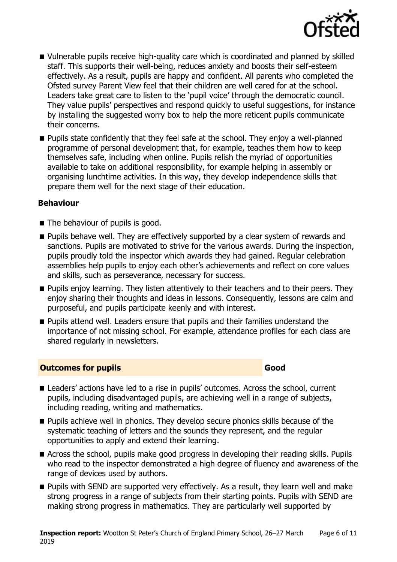

- Vulnerable pupils receive high-quality care which is coordinated and planned by skilled staff. This supports their well-being, reduces anxiety and boosts their self-esteem effectively. As a result, pupils are happy and confident. All parents who completed the Ofsted survey Parent View feel that their children are well cared for at the school. Leaders take great care to listen to the 'pupil voice' through the democratic council. They value pupils' perspectives and respond quickly to useful suggestions, for instance by installing the suggested worry box to help the more reticent pupils communicate their concerns.
- **Pupils state confidently that they feel safe at the school. They enjoy a well-planned** programme of personal development that, for example, teaches them how to keep themselves safe, including when online. Pupils relish the myriad of opportunities available to take on additional responsibility, for example helping in assembly or organising lunchtime activities. In this way, they develop independence skills that prepare them well for the next stage of their education.

#### **Behaviour**

- The behaviour of pupils is good.
- **Pupils behave well. They are effectively supported by a clear system of rewards and** sanctions. Pupils are motivated to strive for the various awards. During the inspection, pupils proudly told the inspector which awards they had gained. Regular celebration assemblies help pupils to enjoy each other's achievements and reflect on core values and skills, such as perseverance, necessary for success.
- **Pupils enjoy learning. They listen attentively to their teachers and to their peers. They** enjoy sharing their thoughts and ideas in lessons. Consequently, lessons are calm and purposeful, and pupils participate keenly and with interest.
- **Pupils attend well. Leaders ensure that pupils and their families understand the** importance of not missing school. For example, attendance profiles for each class are shared regularly in newsletters.

#### **Outcomes for pupils Good**

- **E** Leaders' actions have led to a rise in pupils' outcomes. Across the school, current pupils, including disadvantaged pupils, are achieving well in a range of subjects, including reading, writing and mathematics.
- **Pupils achieve well in phonics. They develop secure phonics skills because of the** systematic teaching of letters and the sounds they represent, and the regular opportunities to apply and extend their learning.
- Across the school, pupils make good progress in developing their reading skills. Pupils who read to the inspector demonstrated a high degree of fluency and awareness of the range of devices used by authors.
- **Pupils with SEND are supported very effectively. As a result, they learn well and make** strong progress in a range of subjects from their starting points. Pupils with SEND are making strong progress in mathematics. They are particularly well supported by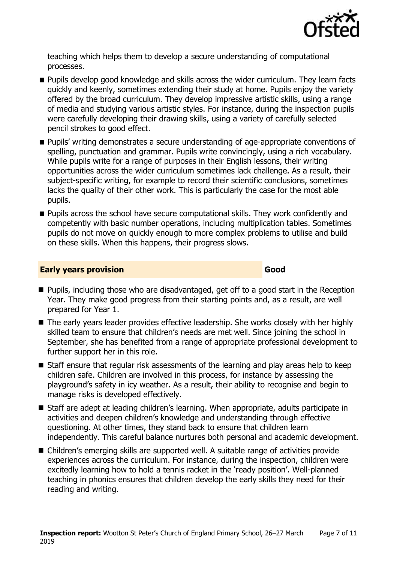

teaching which helps them to develop a secure understanding of computational processes.

- **Pupils develop good knowledge and skills across the wider curriculum. They learn facts** quickly and keenly, sometimes extending their study at home. Pupils enjoy the variety offered by the broad curriculum. They develop impressive artistic skills, using a range of media and studying various artistic styles. For instance, during the inspection pupils were carefully developing their drawing skills, using a variety of carefully selected pencil strokes to good effect.
- **Pupils'** writing demonstrates a secure understanding of age-appropriate conventions of spelling, punctuation and grammar. Pupils write convincingly, using a rich vocabulary. While pupils write for a range of purposes in their English lessons, their writing opportunities across the wider curriculum sometimes lack challenge. As a result, their subject-specific writing, for example to record their scientific conclusions, sometimes lacks the quality of their other work. This is particularly the case for the most able pupils.
- **Pupils across the school have secure computational skills. They work confidently and** competently with basic number operations, including multiplication tables. Sometimes pupils do not move on quickly enough to more complex problems to utilise and build on these skills. When this happens, their progress slows.

#### **Early years provision Good Good**

- Pupils, including those who are disadvantaged, get off to a good start in the Reception Year. They make good progress from their starting points and, as a result, are well prepared for Year 1.
- The early years leader provides effective leadership. She works closely with her highly skilled team to ensure that children's needs are met well. Since joining the school in September, she has benefited from a range of appropriate professional development to further support her in this role.
- Staff ensure that regular risk assessments of the learning and play areas help to keep children safe. Children are involved in this process, for instance by assessing the playground's safety in icy weather. As a result, their ability to recognise and begin to manage risks is developed effectively.
- Staff are adept at leading children's learning. When appropriate, adults participate in activities and deepen children's knowledge and understanding through effective questioning. At other times, they stand back to ensure that children learn independently. This careful balance nurtures both personal and academic development.
- Children's emerging skills are supported well. A suitable range of activities provide experiences across the curriculum. For instance, during the inspection, children were excitedly learning how to hold a tennis racket in the 'ready position'. Well-planned teaching in phonics ensures that children develop the early skills they need for their reading and writing.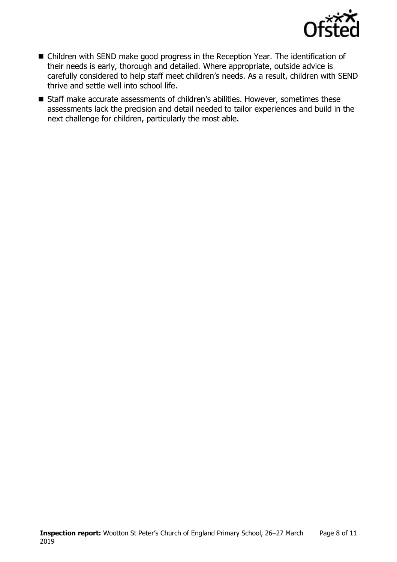

- Children with SEND make good progress in the Reception Year. The identification of their needs is early, thorough and detailed. Where appropriate, outside advice is carefully considered to help staff meet children's needs. As a result, children with SEND thrive and settle well into school life.
- Staff make accurate assessments of children's abilities. However, sometimes these assessments lack the precision and detail needed to tailor experiences and build in the next challenge for children, particularly the most able.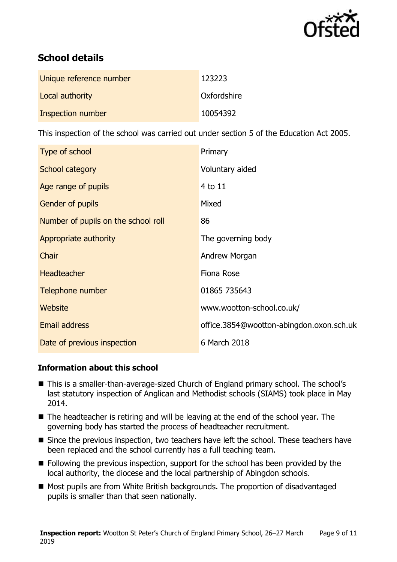

# **School details**

| Unique reference number | 123223      |
|-------------------------|-------------|
| Local authority         | Oxfordshire |
| Inspection number       | 10054392    |

This inspection of the school was carried out under section 5 of the Education Act 2005.

| Type of school                      | Primary                                  |
|-------------------------------------|------------------------------------------|
| School category                     | Voluntary aided                          |
| Age range of pupils                 | 4 to 11                                  |
| <b>Gender of pupils</b>             | Mixed                                    |
| Number of pupils on the school roll | 86                                       |
| Appropriate authority               | The governing body                       |
| Chair                               | Andrew Morgan                            |
| <b>Headteacher</b>                  | <b>Fiona Rose</b>                        |
| Telephone number                    | 01865 735643                             |
| Website                             | www.wootton-school.co.uk/                |
| <b>Email address</b>                | office.3854@wootton-abingdon.oxon.sch.uk |
| Date of previous inspection         | 6 March 2018                             |

### **Information about this school**

- This is a smaller-than-average-sized Church of England primary school. The school's last statutory inspection of Anglican and Methodist schools (SIAMS) took place in May 2014.
- The headteacher is retiring and will be leaving at the end of the school year. The governing body has started the process of headteacher recruitment.
- Since the previous inspection, two teachers have left the school. These teachers have been replaced and the school currently has a full teaching team.
- Following the previous inspection, support for the school has been provided by the local authority, the diocese and the local partnership of Abingdon schools.
- Most pupils are from White British backgrounds. The proportion of disadvantaged pupils is smaller than that seen nationally.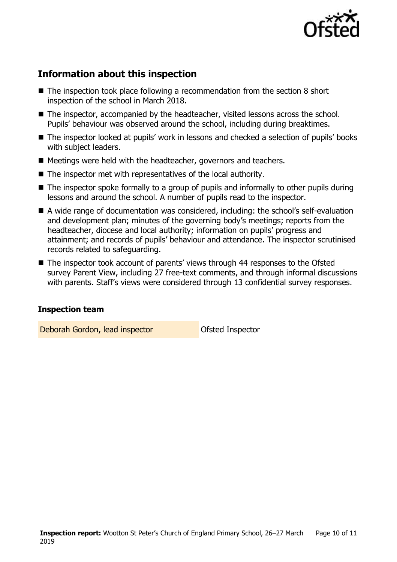

# **Information about this inspection**

- The inspection took place following a recommendation from the section 8 short inspection of the school in March 2018.
- The inspector, accompanied by the headteacher, visited lessons across the school. Pupils' behaviour was observed around the school, including during breaktimes.
- The inspector looked at pupils' work in lessons and checked a selection of pupils' books with subject leaders.
- Meetings were held with the headteacher, governors and teachers.
- The inspector met with representatives of the local authority.
- The inspector spoke formally to a group of pupils and informally to other pupils during lessons and around the school. A number of pupils read to the inspector.
- A wide range of documentation was considered, including: the school's self-evaluation and development plan; minutes of the governing body's meetings; reports from the headteacher, diocese and local authority; information on pupils' progress and attainment; and records of pupils' behaviour and attendance. The inspector scrutinised records related to safeguarding.
- The inspector took account of parents' views through 44 responses to the Ofsted survey Parent View, including 27 free-text comments, and through informal discussions with parents. Staff's views were considered through 13 confidential survey responses.

#### **Inspection team**

Deborah Gordon, lead inspector **Deborah Gordon**, lead inspector